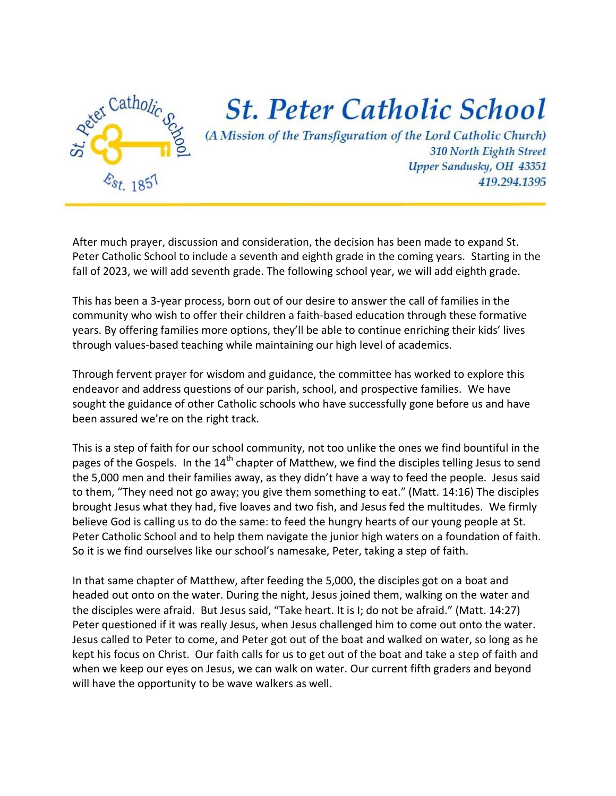

## **St. Peter Catholic School**

(A Mission of the Transfiguration of the Lord Catholic Church) 310 North Eighth Street Upper Sandusky, OH 43351 419.294.1395

After much prayer, discussion and consideration, the decision has been made to expand St. Peter Catholic School to include a seventh and eighth grade in the coming years. Starting in the fall of 2023, we will add seventh grade. The following school year, we will add eighth grade.

This has been a 3-year process, born out of our desire to answer the call of families in the community who wish to offer their children a faith-based education through these formative years. By offering families more options, they'll be able to continue enriching their kids' lives through values-based teaching while maintaining our high level of academics.

Through fervent prayer for wisdom and guidance, the committee has worked to explore this endeavor and address questions of our parish, school, and prospective families. We have sought the guidance of other Catholic schools who have successfully gone before us and have been assured we're on the right track.

This is a step of faith for our school community, not too unlike the ones we find bountiful in the pages of the Gospels. In the 14<sup>th</sup> chapter of Matthew, we find the disciples telling Jesus to send the 5,000 men and their families away, as they didn't have a way to feed the people. Jesus said to them, "They need not go away; you give them something to eat." (Matt. 14:16) The disciples brought Jesus what they had, five loaves and two fish, and Jesus fed the multitudes. We firmly believe God is calling us to do the same: to feed the hungry hearts of our young people at St. Peter Catholic School and to help them navigate the junior high waters on a foundation of faith. So it is we find ourselves like our school's namesake, Peter, taking a step of faith.

In that same chapter of Matthew, after feeding the 5,000, the disciples got on a boat and headed out onto on the water. During the night, Jesus joined them, walking on the water and the disciples were afraid. But Jesus said, "Take heart. It is I; do not be afraid." (Matt. 14:27) Peter questioned if it was really Jesus, when Jesus challenged him to come out onto the water. Jesus called to Peter to come, and Peter got out of the boat and walked on water, so long as he kept his focus on Christ. Our faith calls for us to get out of the boat and take a step of faith and when we keep our eyes on Jesus, we can walk on water. Our current fifth graders and beyond will have the opportunity to be wave walkers as well.